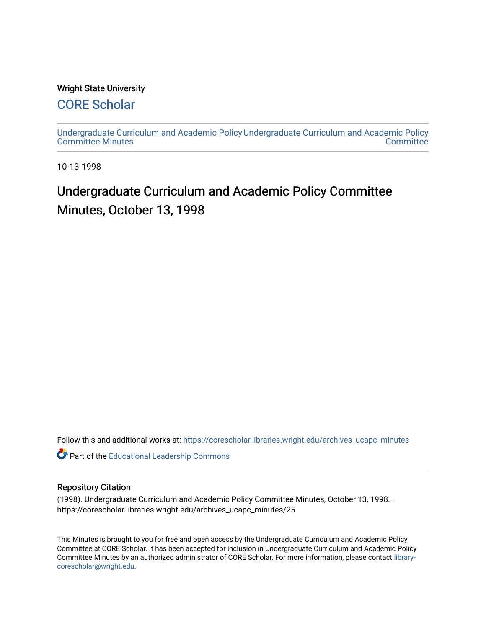### Wright State University

### [CORE Scholar](https://corescholar.libraries.wright.edu/)

[Undergraduate Curriculum and Academic Policy](https://corescholar.libraries.wright.edu/archives_ucapc_minutes) [Undergraduate Curriculum and Academic Policy](https://corescholar.libraries.wright.edu/archives_ucapc)  [Committee Minutes](https://corescholar.libraries.wright.edu/archives_ucapc_minutes) **Committee** 

10-13-1998

# Undergraduate Curriculum and Academic Policy Committee Minutes, October 13, 1998

Follow this and additional works at: [https://corescholar.libraries.wright.edu/archives\\_ucapc\\_minutes](https://corescholar.libraries.wright.edu/archives_ucapc_minutes?utm_source=corescholar.libraries.wright.edu%2Farchives_ucapc_minutes%2F25&utm_medium=PDF&utm_campaign=PDFCoverPages) 

Part of the [Educational Leadership Commons](http://network.bepress.com/hgg/discipline/1230?utm_source=corescholar.libraries.wright.edu%2Farchives_ucapc_minutes%2F25&utm_medium=PDF&utm_campaign=PDFCoverPages) 

#### Repository Citation

(1998). Undergraduate Curriculum and Academic Policy Committee Minutes, October 13, 1998. . https://corescholar.libraries.wright.edu/archives\_ucapc\_minutes/25

This Minutes is brought to you for free and open access by the Undergraduate Curriculum and Academic Policy Committee at CORE Scholar. It has been accepted for inclusion in Undergraduate Curriculum and Academic Policy Committee Minutes by an authorized administrator of CORE Scholar. For more information, please contact [library](mailto:library-corescholar@wright.edu)[corescholar@wright.edu](mailto:library-corescholar@wright.edu).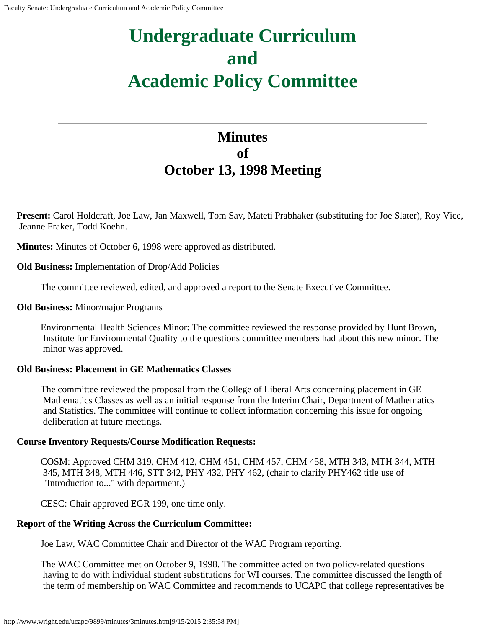# **Undergraduate Curriculum and Academic Policy Committee**

## **Minutes of October 13, 1998 Meeting**

**Present:** Carol Holdcraft, Joe Law, Jan Maxwell, Tom Sav, Mateti Prabhaker (substituting for Joe Slater), Roy Vice, Jeanne Fraker, Todd Koehn.

**Minutes:** Minutes of October 6, 1998 were approved as distributed.

**Old Business:** Implementation of Drop/Add Policies

The committee reviewed, edited, and approved a report to the Senate Executive Committee.

### **Old Business:** Minor/major Programs

Environmental Health Sciences Minor: The committee reviewed the response provided by Hunt Brown, Institute for Environmental Quality to the questions committee members had about this new minor. The minor was approved.

### **Old Business: Placement in GE Mathematics Classes**

The committee reviewed the proposal from the College of Liberal Arts concerning placement in GE Mathematics Classes as well as an initial response from the Interim Chair, Department of Mathematics and Statistics. The committee will continue to collect information concerning this issue for ongoing deliberation at future meetings.

### **Course Inventory Requests/Course Modification Requests:**

COSM: Approved CHM 319, CHM 412, CHM 451, CHM 457, CHM 458, MTH 343, MTH 344, MTH 345, MTH 348, MTH 446, STT 342, PHY 432, PHY 462, (chair to clarify PHY462 title use of "Introduction to..." with department.)

CESC: Chair approved EGR 199, one time only.

### **Report of the Writing Across the Curriculum Committee:**

Joe Law, WAC Committee Chair and Director of the WAC Program reporting.

The WAC Committee met on October 9, 1998. The committee acted on two policy-related questions having to do with individual student substitutions for WI courses. The committee discussed the length of the term of membership on WAC Committee and recommends to UCAPC that college representatives be